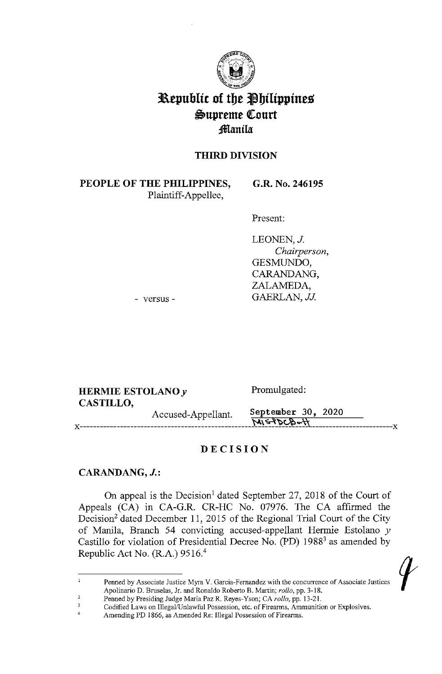

# **3L\tpubltt of** *tbt* **~biltppints \$Upreme QCourt :ffla:nila:**

## **THIRD DIVISION**

**PEOPLE OF THE PHILIPPINES,**  Plaintiff-Appellee,

**G.R. No. 246195** 

Present:

LEONEN, J. *Chairperson,*  GESMUNDO, CARANDANG, ZALAMEDA, GAERLAN, JJ.

- versus -

**HERMIE ESTOLANO y CASTILLO,**  Accused-Appellant. Promulgated: September 30, 2020<br><del>NSSDCD-\</del>

### **DECISION**

### **CARANDANG,** *J.:*

x------------------------------------

On appeal is the Decision<sup>1</sup> dated September 27, 2018 of the Court of Appeals (CA) in CA-G.R. CR-HC No. 07976. The CA affirmed the Decision<sup>2</sup> dated December 11, 2015 of the Regional Trial Court of the City of Manila, Branch 54 convicting accused-appellant Hermie Estolano *y*  Castillo for violation of Presidential Decree No. (PD)  $1988^3$  as amended by Republic Act No. (R.A.) 9516.<sup>4</sup>

 $\mathbf 1$ **Penned by Associate Justice Myra V. Garcia-Fernandez with the concurrence of Associate Justices**  Apolinario D. Bruselas, Jr. and Ronaldo Roberto B. Martin; *rollo*, pp. 3-18.

<sup>2</sup>  Penned by Presiding Judge Maria Paz R. Reyes-Yson; CA *rollo,* pp. 13-21.

 $\overline{\mathbf{3}}$ Codified Laws on Illegal/Unlawful Possession, etc. of Firearms, Ammunition or Explosives.

<sup>4</sup>  Amending PD 1866, as Amended Re: Illegal Possession of Firearms.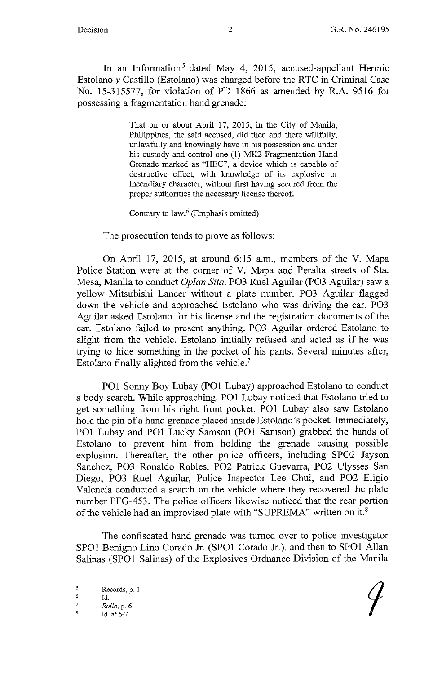In an Information<sup>5</sup> dated May 4, 2015, accused-appellant Hermie Estolano *y* Castillo (Estolano) was charged before the RTC in Criminal Case No. 15-315577, for violation of **PD** 1866 as amended by **R.A.** 9516 for possessing a fragmentation hand grenade:

> That on or about April 17, 2015, in the City of Manila, Philippines, the said accused, did then and there willfully, unlawfully and knowingly have in his possession and uuder his custody and control one (1) MK2 Fragmentation Hand Grenade marked as "HEC", a device which is capable of destructive effect, with knowledge of its explosive or incendiary character, without first having secured from the proper authorities the necessary license thereof.

Contrary to law. $<sup>6</sup>$  (Emphasis omitted)</sup>

The prosecution tends to prove as follows:

On April 17, 2015, at around 6:15 a.m., members of the V. Mapa Police Station were at the comer of V. Mapa and Peralta streets of Sta. Mesa, Manila to conduct *Oplan Sita.* PO3 Ruel Aguilar (PO3 Aguilar) saw a yellow Mitsubishi Lancer without a plate number. PO3 Aguilar flagged down the vehicle and approached Estolano who was driving the car. PO3 Aguilar asked Estolano for his license and the registration documents of the car. Estolano failed to present anything. PO3 Aguilar ordered Estolano to alight from the vehicle. Estolano initially refused and acted as if he was trying to hide something in the pocket of his pants. Several minutes after, Estolano finally alighted from the vehicle.<sup>7</sup>

POI Sonny Boy Lubay (POI Lubay) approached Estolano to conduct a body search. While approaching, POI Lubay noticed that Estolano tried to get something from his right front pocket. POI Lubay also saw Estolano hold the pin of a hand grenade placed inside Estolano's pocket. Immediately, POI Lubay and POI Lucky Samson (POI Samson) grabbed the hands of Estolano to prevent him from holding the grenade causing possible explosion. Thereafter, the other police officers, including SPO2 Jayson Sanchez, PO3 Ronaldo Robles, PO2 Patrick Guevarra, PO2 Ulysses San Diego, PO3 Ruel Aguilar, Police Inspector Lee Chui, and PO2 Eligio Valencia conducted a search on the vehicle where they recovered the plate number PFG-453. The police officers likewise noticed that the rear portion of the vehicle had an improvised plate with "SUPREMA" written on it.<sup>8</sup>

The confiscated hand grenade was turned over to police investigator SPOl Benigno Lino Corado Jr. (SPOl Corado Jr.), and then to SPOl Allan Salinas (SPOl Salinas) of the Explosives Ordnance Division of the Manila

 $\mathbf{S}$ Records, p. I.  $\epsilon$ Id.

 $\bar{7}$ 

<sup>8</sup>  *Rollo.* p. 6.

Id.at6-7.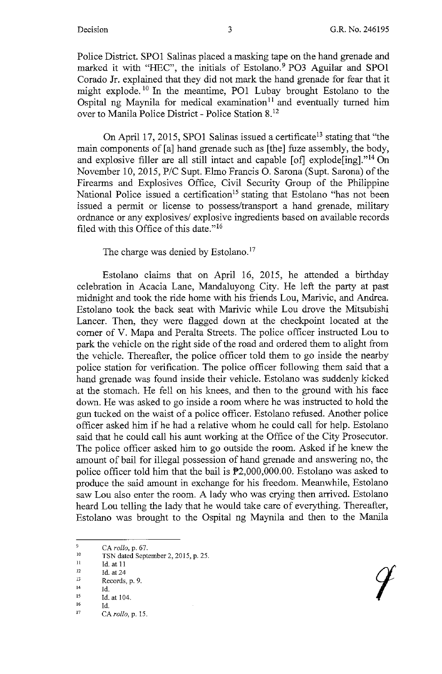Police District. SPOl Salinas placed a masking tape on the hand grenade and marked it with "HEC", the initials of Estolano.<sup>9</sup> PO3 Aguilar and SPO1 Corado Jr. explained that they did not mark the hand grenade for fear that it might explode. 10 In the meantime, POI Lubay brought Estolano to the Ospital ng Maynila for medical examination 11 and eventually turned him over to Manila Police District - Police Station 8. <sup>12</sup>

On April 17, 2015, SPO1 Salinas issued a certificate<sup>13</sup> stating that "the main components of [a] hand grenade such as [the] fuze assembly, the body, and explosive filler are all still intact and capable [of] explode  $\lceil \frac{m}{n} \rceil$ .<sup>14</sup> On November 10, 2015, P/C Supt. Elmo Francis 0. Sarona (Supt. Sarona) of the Firearms and Explosives Office, Civil Security Group of the Philippine National Police issued a certification<sup>15</sup> stating that Estolano "has not been issued a permit or license to possess/transport a hand grenade, military ordnance or any explosives/ explosive ingredients based on available records filed with this Office of this date."<sup>16</sup>

The charge was denied by Estolano.<sup>17</sup>

Estolano claims that on April 16, 2015, he attended a birthday celebration in Acacia Lane, Mandaluyong City. He left the party at past midnight and took the ride home with his friends Lou, Marivic, and Andrea. Estolano took the back seat with Marivic while Lou drove the Mitsubishi Lancer. Then, they were flagged down at the checkpoint located at the comer of V. Mapa and Peralta Streets. The police officer instructed Lou to park the vehicle on the right side of the road and ordered them to alight from the vehicle. Thereafter, the police officer told them to go inside the nearby police station for verification. The police officer following them said that a hand grenade was found inside their vehicle. Estolano was suddenly kicked at the stomach. He fell on his knees, and then to the ground with his face down. He was asked to go inside a room where he was instructed to hold the gun tucked on the waist of a police officer. Estolano refused. Another police officer asked him if he had a relative whom he could call for help. Estolano said that he could call his aunt working at the Office of the City Prosecutor. The police officer asked him to go outside the room. Asked if he knew the amount of bail for illegal possession of hand grenade and answering no, the police officer told him that the bail is  $\mathbb{P}2,000,000.00$ . Estolano was asked to produce the said amount in exchange for his freedom. Meanwhile, Estolano saw Lou also enter the room. A lady who was crying then arrived. Estolano heard Lou telling the lady that he would take care of everything. Thereafter, Estolano was brought to the Ospital ng Maynila and then to the Manila

 $\overline{9}$ CA *rollo,* p. 67.

<sup>10</sup>  TSN dated September 2, 2015, p. 25.

<sup>11</sup>  Id. at 11

<sup>12</sup>  13 Id. at 24

<sup>14</sup>  Records, p. 9.

<sup>15</sup>  Id. Id. at 104.

<sup>16</sup>  Id.

<sup>17</sup>  CA *rol/o,* p. 15.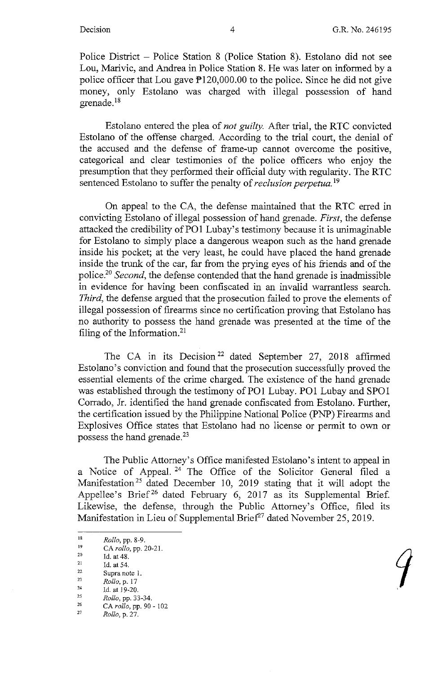Police District - Police Station 8 (Police Station 8). Estolano did not see Lou, Marivic, and Andrea in Police Station 8. He was later on informed by a police officer that Lou gave  $\overline{P}120,000.00$  to the police. Since he did not give money, only Estolano was charged with illegal possession of hand grenade.<sup>18</sup>

Estolano entered the plea of *not guilty.* After trial, the RTC convicted Estolano of the offense charged. According to the trial court, the denial of the accused and the defense of frame-up cannot overcome the positive, categorical and clear testimonies of the police officers who enjoy the presumption that they performed their official duty with regularity. The RTC sentenced Estolano to suffer the penalty of *reclusion perpetua.* <sup>19</sup>

On appeal to the CA, the defense maintained that the RTC erred in convicting Estolano of illegal possession of hand grenade. *First,* the defense attacked the credibility of POI Lubay's testimony because it is unimaginable for Estolano to simply place a dangerous weapon such as the hand grenade inside his pocket; at the very least, he could have placed the hand grenade inside the trunk of the car, far from the prying eyes of his friends and of the police.20 *Second,* the defense contended that the hand grenade is inadmissible in evidence for having been confiscated in an invalid warrantless search. *Third,* the defense argued that the prosecution failed to prove the elements of illegal possession of firearms since no certification proving that Estolano has no authority to possess the hand grenade was presented at the time of the filing of the Information.21

The CA in its Decision<sup>22</sup> dated September 27, 2018 affirmed Estolano's conviction and found that the prosecution successfully proved the essential elements of the crime charged. The existence of the hand grenade was established through the testimony of POI Lubay. POI Lubay and SPOI Corrado, Jr. identified the hand grenade confiscated from Estolano. Further, the certification issued by the Philippine National Police (PNP) Firearms and Explosives Office states that Estolano had no license or permit to own or possess the hand grenade.23

The Public Attorney's Office manifested Estolano's intent to appeal in a Notice of Appeal. 24 The Office of the Solicitor General filed a Manifestation<sup>25</sup> dated December 10, 2019 stating that it will adopt the Appellee's Brief<sup>26</sup> dated February 6, 2017 as its Supplemental Brief. Likewise, the defense, through the Public Attorney's Office, filed its Manifestation in Lieu of Supplemental Brief<sup>27</sup> dated November 25, 2019.

<sup>18</sup> Rollo, pp. 8-9.<br>
19 CA *rollo*, pp. 20-21.<br>
20 Id. at 48.<br>
21 Id. at 54.<br>
22 Supra note 1.

<sup>23</sup> *Rollo,* p. 17

<sup>&</sup>lt;sup>24</sup> Id. at 19-20.<br>
<sup>25</sup> *Rollo*, pp. 33-34.<br>
<sup>26</sup> CA rollo pp. 90.

<sup>&</sup>lt;sup>26</sup> CA *rollo*, pp. 90 - 102

<sup>27</sup> *Rollo,* p. 27.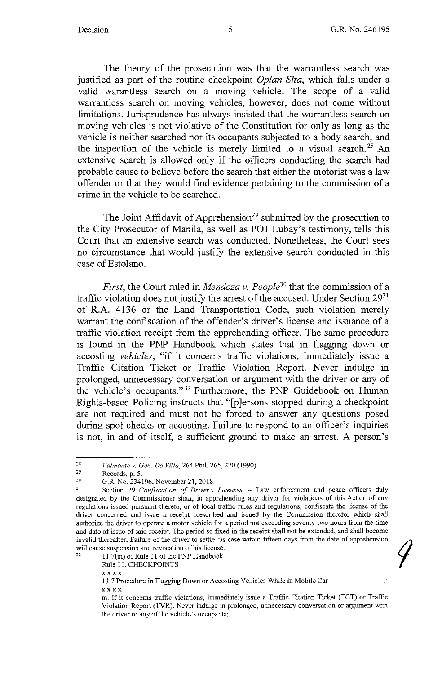The theory of the prosecution was that the warrantless search was justified as part of the routine checkpoint *Oplan Sita,* which falls under a valid warantless search on a moving vehicle. The scope of a valid warrantless search on moving vehicles, however, does not come without limitations. Jurisprudence has always insisted that the warrantless search on moving vehicles is not violative of the Constitution for only as long as the vehicle is neither searched nor its occupants subjected to a body search, and the inspection of the vehicle is merely limited to a visual search.<sup>28</sup> An extensive search is allowed only if the officers conducting the search had probable cause to believe before the search that either the motorist was a law offender or that they would find evidence pertaining to the commission of a crime in the vehicle to be searched.

The Joint Affidavit of Apprehension<sup>29</sup> submitted by the prosecution to the City Prosecutor of Manila, as well as **POI** Lubay's testimony, tells this Court that an extensive search was conducted. Nonetheless, the Court sees no circumstance that would justify the extensive search conducted in this case of Estolano.

*First,* the Court ruled in *Mendoza v. People30* that the commission of a traffic violation does not justify the arrest of the accused. Under Section  $29^{31}$ of R.A. 4136 or the Land Transportation Code, such violation merely warrant the confiscation of the offender's driver's license and issuance of a traffic violation receipt from the apprehending officer. The same procedure is found in the PNP Handbook which states that in flagging down or accosting *vehicles,* "if it concerns traffic violations, immediately issue a Traffic Citation Ticket or Traffic Violation Report. Never indulge in prolonged, unnecessary conversation or argument with the driver or any of the vehicle's occupants." 32 Furthermore, the **PNP** Guidebook on Human Rights-based Policing instructs that "[p]ersons stopped during a checkpoint are not required and must not be forced to answer any questions posed during spot checks or accosting. Failure to respond to an officer's inquiries is not, in and of itself, a sufficient ground to make an arrest. A person's

**xxxx** 

11.7 Procedure in Flagging Down or Accosting Vehicles While in Mobile Car **xxxx** 

<sup>28</sup>  *Valmonte v. Gen. De Villa,* 264 Phil. 265,270 (1990).

<sup>29</sup>  Records, p. 5.

<sup>30</sup> 

G.R. No. 234196, November 21, 2018. 31 **Section 29.** *Confiscation of Driver's Licenses.* **- Law enforcement and peace officers duly**  designated by the Commissioner shall, in apprehending any driver for violations of this Act or of any **regulations issued pursuant thereto, or of local traffic rules and regulations, confiscate the license of the**  driver concerned and issue a receipt prescribed and issued by the Commission therefor which shall **authorize the driver to operate a motor vehicle for a period not exceeding seventy-two hours from the time**  authorize the driver to operate a motor venicle for a period not exceeding seventy-two hours from the time<br>and date of issue of said receipt. The period so fixed in the receipt shall not be extended, and shall become<br>inval **will cause suspension and revocation of his license.** 

 $11.7(m)$  of Rule 11 of the PNP Handbook

Rule 11. CHECKPOINTS

m. If it concerns traffic violations, immediately issue a Traffic Citation Ticket (TCD or Traffic Violation Report (TVR). Never indulge in prolonged, unnecessary conversation or argument with the driver or any of the vehicle's occupants;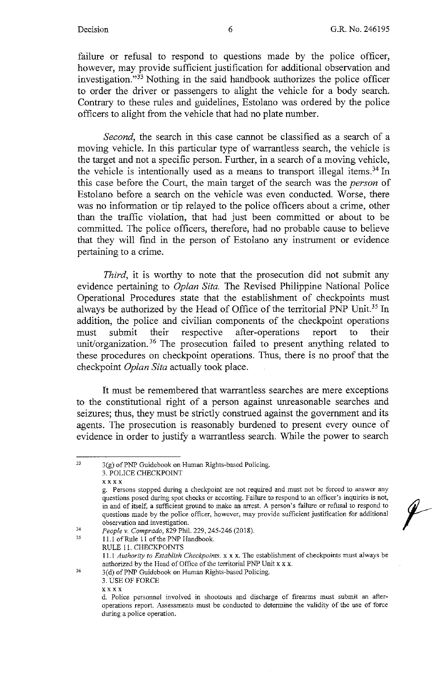failure or refusal to respond to questions made by the police officer, however, may provide sufficient justification for additional observation and investigation."33 Nothing in the said handbook authorizes the police officer to order the driver or passengers to alight the vehicle for a body search. Contrary to these rules and guidelines, Estolano was ordered by the police officers to alight from the vehicle that had no plate number.

*Second,* the search in this case cannot be classified as a search of a moving vehicle. In this particular type of warrantless search, the vehicle is the target and not a specific person. Further, in a search of a moving vehicle, the vehicle is intentionally used as a means to transport illegal items.<sup>34</sup> In this case before the Court, the main target of the search was the *person* of Estolano before a search on the vehicle was even conducted. Worse, there was no information or tip relayed to the police officers about a crime, other than the traffic violation, that had just been committed or about to be committed. The police officers, therefore, had no probable cause to believe that they will find in the person of Estolano any instrument or evidence pertaining to a crime.

*Third,* it is worthy to note that the prosecution did not submit any evidence pertaining to *Oplan Sita.* The Revised Philippine National Police Operational Procedures state that the establishment of checkpoints must always be authorized by the Head of Office of the territorial PNP Unit.<sup>35</sup> In addition, the police and civilian components of the checkpoint operations must submit their respective after-operations report to their unit/organization.<sup>36</sup> The prosecution failed to present anything related to these procedures on checkpoint operations. Thus, there is no proof that the checkpoint *Oplan Sita* actually took place.

It must be remembered that warrantless searches are mere exceptions to the constitutional right of a person against unreasonable searches and seizures; thus, they must be strictly construed against the government and its agents. The prosecution is reasonably burdened to present every ounce of evidence in order to justify a warrantless search. While the power to search

33 3(g) of PNP Guidebook on Human Rights-based Policing. 3. POLICE CHECKPOINT

 $\begin{matrix} \mathbf{r}_1 \\ \mathbf{r}_2 \\ \mathbf{r}_3 \end{matrix}$ 

35 11.1 of Rule 11 of the PNP Handbook.

RULE 11. CHECKPOINTS

- 3(d) of PNP Guidebook on Human Rights-based Policing.
	- 3. USE OF FORCE

36

**xxxx** 

**g. Persons stopped during a checkpoint are not required and must not be forced to answer any questions posed during spot checks or accosting. Failure to respond to an officer's inquiries is not, questions made by the police officer, however, may provide sufficient justification for additional**  in and of itself, a sufficient ground to make an arrest. A person's failure or refusal to respond **observation and investigation.** 

<sup>34</sup>  *People v. Comprado,* 829 Phil. 229, 245-246 (2018).

<sup>11.1</sup> Authority to Establish Checkpoints. x x x. The establishment of checkpoints must always be authorized by the Head of Office of the territorial PNP Unit  $x \times x$ .

**xxxx** 

**d. Police personnel involved in shootouts and discharge of firearms must submit an after**operations report. Assessments must be conducted to determine the validity of the use of force **during a police operation.**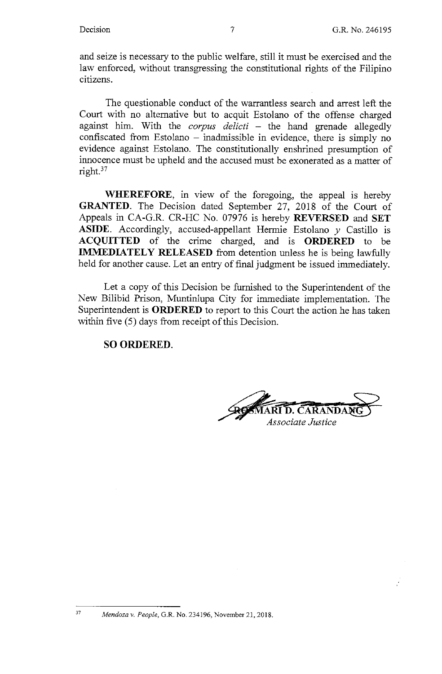and seize is necessary to the public welfare, still it must be exercised and the law enforced, without transgressing the constitutional rights of the Filipino citizens.

The questionable conduct of the warrantless search and arrest left the Court with no alternative but to acquit Estolano of the offense charged against him. With the *corpus delicti* - the hand grenade allegedly confiscated from Estolano - inadmissible in evidence, there is simply no evidence against Estolano. The constitutionally enshrined presumption of innocence must be upheld and the accused must be exonerated as a matter of right.37

**WHEREFORE,** in view of the foregoing, the appeal is hereby **GRANTED.** The Decision dated September 27, 2018 of the Court of Appeals in CA-G.R. CR-HC No. 07976 is hereby **REVERSED and SET ASIDE.** Accordingly, accused-appellant Hermie Estolano *y* Castillo is **ACQUITTED** of the crime charged, and is **ORDERED** to be **IMMEDIATELY RELEASED** from detention unless he is being lawfully held for another cause. Let an entry of final judgment be issued immediately.

Let a copy of this Decision be furnished to the Superintendent of the New Bilibid Prison, Muntinlupa City for immediate implementation. The Superintendent is **ORDERED** to report to this Court the action he has taken within five (5) days from receipt of this Decision.

**SO ORDERED.** 

RESMARI D. CARANDA *Associate Justice* 

<sup>37</sup> *Mendozav. People,* G.R. No. 234196, November 21, 2018.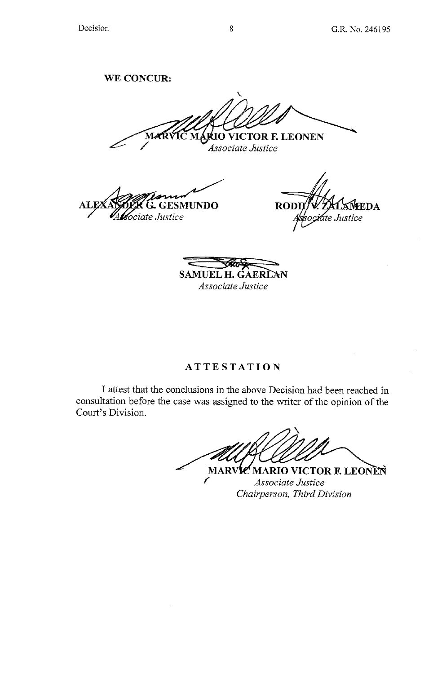**WE CONCUR:** 

 $\lambda$ MAR **UO VICTOR F. LEONEN** 

*Associate Justice* 

ALEXA COR G. GESMUNDO **ALEXANDER G. GESMUNDO**<br>*Alsociate Justice* 

**ROD EDA** te Justice

tam **SAMUEL H. GAERLAN** *Associate Justice* 

# **ATTESTATION**

I attest that the conclusions in the above Decision had been reached in consultation before the case was assigned to the writer of the opinion of the Court's Division.

MARVIE MARIO VICTOR F. LEONEN

*Associate Justice Chairperson, Third Division*